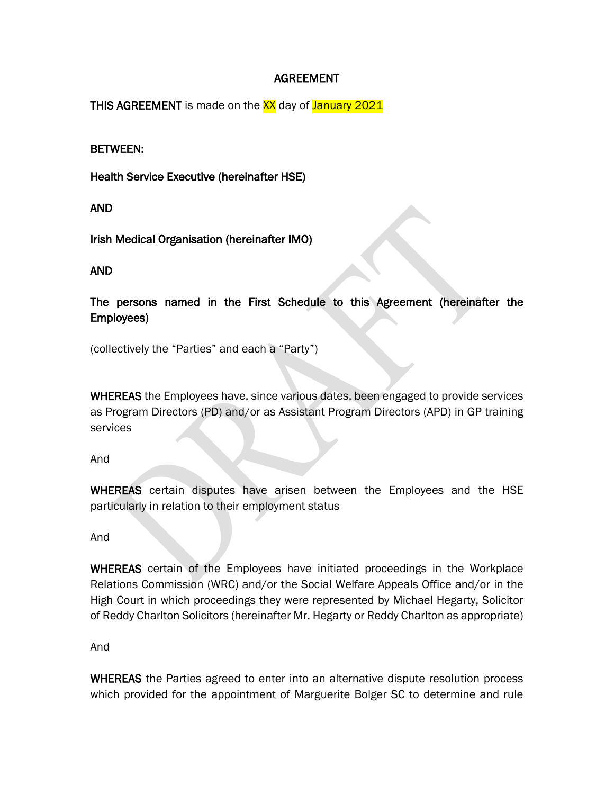# AGREEMENT

THIS AGREEMENT is made on the XX day of January 2021

## BETWEEN:

Health Service Executive (hereinafter HSE)

### AND

Irish Medical Organisation (hereinafter IMO)

## AND

The persons named in the First Schedule to this Agreement (hereinafter the Employees)

(collectively the "Parties" and each a "Party")

WHEREAS the Employees have, since various dates, been engaged to provide services as Program Directors (PD) and/or as Assistant Program Directors (APD) in GP training services

#### And

WHEREAS certain disputes have arisen between the Employees and the HSE particularly in relation to their employment status

#### And

WHEREAS certain of the Employees have initiated proceedings in the Workplace Relations Commission (WRC) and/or the Social Welfare Appeals Office and/or in the High Court in which proceedings they were represented by Michael Hegarty, Solicitor of Reddy Charlton Solicitors (hereinafter Mr. Hegarty or Reddy Charlton as appropriate)

And

WHEREAS the Parties agreed to enter into an alternative dispute resolution process which provided for the appointment of Marguerite Bolger SC to determine and rule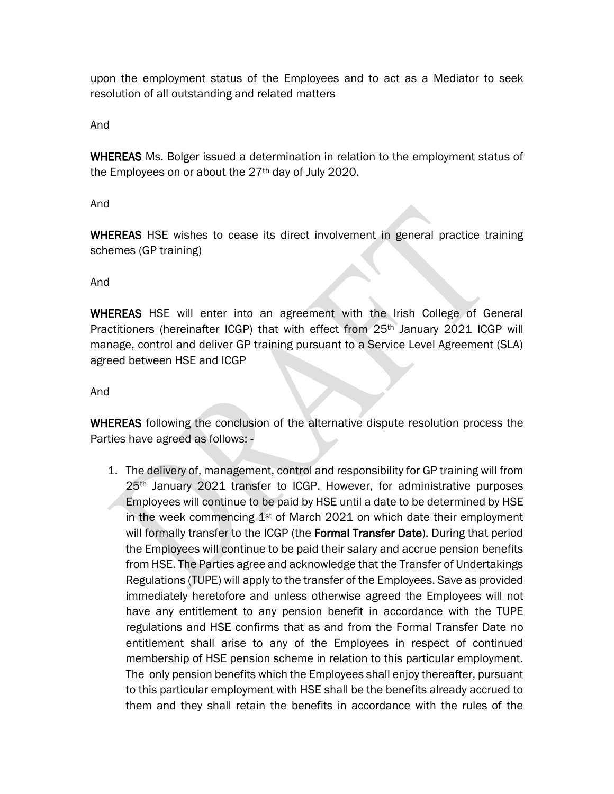upon the employment status of the Employees and to act as a Mediator to seek resolution of all outstanding and related matters

And

WHEREAS Ms. Bolger issued a determination in relation to the employment status of the Employees on or about the  $27<sup>th</sup>$  day of July 2020.

And

WHEREAS HSE wishes to cease its direct involvement in general practice training schemes (GP training)

And

WHEREAS HSE will enter into an agreement with the Irish College of General Practitioners (hereinafter ICGP) that with effect from 25th January 2021 ICGP will manage, control and deliver GP training pursuant to a Service Level Agreement (SLA) agreed between HSE and ICGP

And

WHEREAS following the conclusion of the alternative dispute resolution process the Parties have agreed as follows: -

1. The delivery of, management, control and responsibility for GP training will from 25th January 2021 transfer to ICGP. However, for administrative purposes Employees will continue to be paid by HSE until a date to be determined by HSE in the week commencing  $1<sup>st</sup>$  of March 2021 on which date their employment will formally transfer to the ICGP (the **Formal Transfer Date**). During that period the Employees will continue to be paid their salary and accrue pension benefits from HSE. The Parties agree and acknowledge that the Transfer of Undertakings Regulations (TUPE) will apply to the transfer of the Employees. Save as provided immediately heretofore and unless otherwise agreed the Employees will not have any entitlement to any pension benefit in accordance with the TUPE regulations and HSE confirms that as and from the Formal Transfer Date no entitlement shall arise to any of the Employees in respect of continued membership of HSE pension scheme in relation to this particular employment. The only pension benefits which the Employees shall enjoy thereafter, pursuant to this particular employment with HSE shall be the benefits already accrued to them and they shall retain the benefits in accordance with the rules of the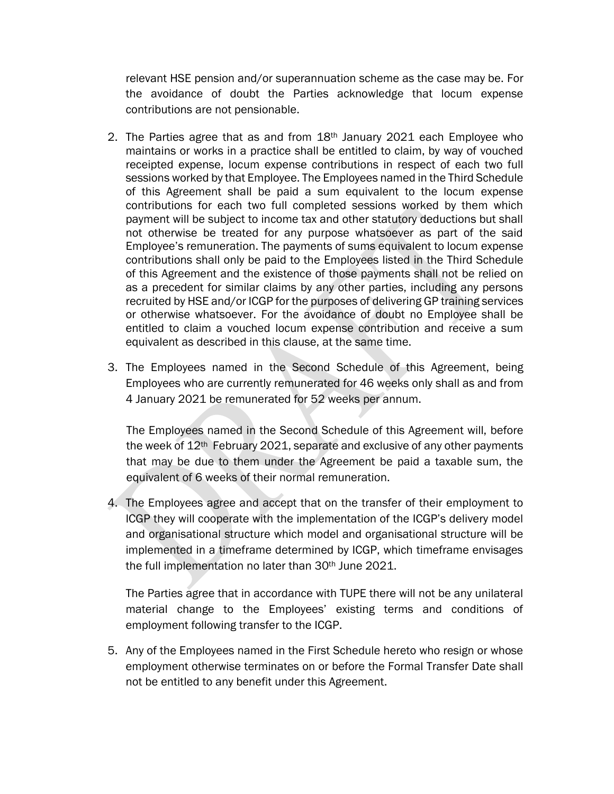relevant HSE pension and/or superannuation scheme as the case may be. For the avoidance of doubt the Parties acknowledge that locum expense contributions are not pensionable.

- 2. The Parties agree that as and from 18th January 2021 each Employee who maintains or works in a practice shall be entitled to claim, by way of vouched receipted expense, locum expense contributions in respect of each two full sessions worked by that Employee. The Employees named in the Third Schedule of this Agreement shall be paid a sum equivalent to the locum expense contributions for each two full completed sessions worked by them which payment will be subject to income tax and other statutory deductions but shall not otherwise be treated for any purpose whatsoever as part of the said Employee's remuneration. The payments of sums equivalent to locum expense contributions shall only be paid to the Employees listed in the Third Schedule of this Agreement and the existence of those payments shall not be relied on as a precedent for similar claims by any other parties, including any persons recruited by HSE and/or ICGP for the purposes of delivering GP training services or otherwise whatsoever. For the avoidance of doubt no Employee shall be entitled to claim a vouched locum expense contribution and receive a sum equivalent as described in this clause, at the same time.
- 3. The Employees named in the Second Schedule of this Agreement, being Employees who are currently remunerated for 46 weeks only shall as and from 4 January 2021 be remunerated for 52 weeks per annum.

The Employees named in the Second Schedule of this Agreement will, before the week of 12<sup>th</sup> February 2021, separate and exclusive of any other payments that may be due to them under the Agreement be paid a taxable sum, the equivalent of 6 weeks of their normal remuneration.

4. The Employees agree and accept that on the transfer of their employment to ICGP they will cooperate with the implementation of the ICGP's delivery model and organisational structure which model and organisational structure will be implemented in a timeframe determined by ICGP, which timeframe envisages the full implementation no later than 30th June 2021.

The Parties agree that in accordance with TUPE there will not be any unilateral material change to the Employees' existing terms and conditions of employment following transfer to the ICGP.

5. Any of the Employees named in the First Schedule hereto who resign or whose employment otherwise terminates on or before the Formal Transfer Date shall not be entitled to any benefit under this Agreement.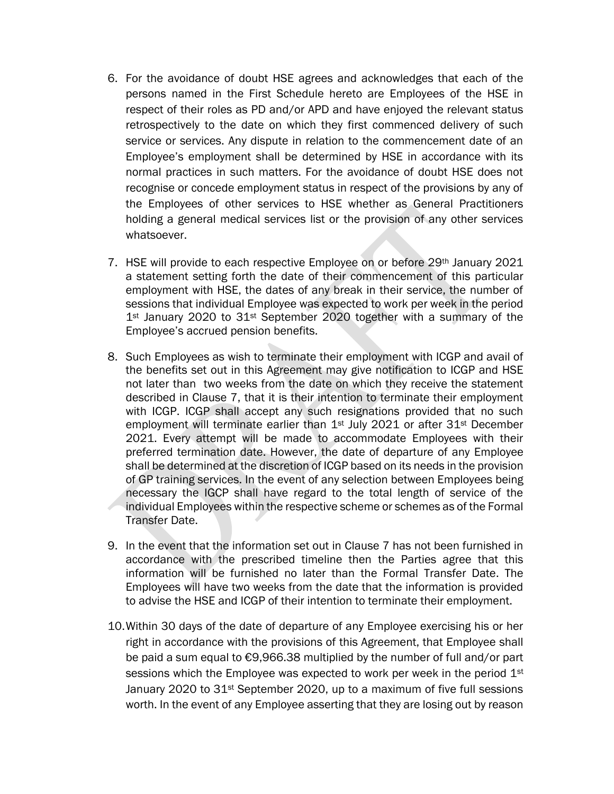- 6. For the avoidance of doubt HSE agrees and acknowledges that each of the persons named in the First Schedule hereto are Employees of the HSE in respect of their roles as PD and/or APD and have enjoyed the relevant status retrospectively to the date on which they first commenced delivery of such service or services. Any dispute in relation to the commencement date of an Employee's employment shall be determined by HSE in accordance with its normal practices in such matters. For the avoidance of doubt HSE does not recognise or concede employment status in respect of the provisions by any of the Employees of other services to HSE whether as General Practitioners holding a general medical services list or the provision of any other services whatsoever.
- 7. HSE will provide to each respective Employee on or before 29th January 2021 a statement setting forth the date of their commencement of this particular employment with HSE, the dates of any break in their service, the number of sessions that individual Employee was expected to work per week in the period 1<sup>st</sup> January 2020 to 31<sup>st</sup> September 2020 together with a summary of the Employee's accrued pension benefits.
- 8. Such Employees as wish to terminate their employment with ICGP and avail of the benefits set out in this Agreement may give notification to ICGP and HSE not later than two weeks from the date on which they receive the statement described in Clause 7, that it is their intention to terminate their employment with ICGP. ICGP shall accept any such resignations provided that no such employment will terminate earlier than 1<sup>st</sup> July 2021 or after 31<sup>st</sup> December 2021. Every attempt will be made to accommodate Employees with their preferred termination date. However, the date of departure of any Employee shall be determined at the discretion of ICGP based on its needs in the provision of GP training services. In the event of any selection between Employees being necessary the IGCP shall have regard to the total length of service of the individual Employees within the respective scheme or schemes as of the Formal Transfer Date.
- 9. In the event that the information set out in Clause 7 has not been furnished in accordance with the prescribed timeline then the Parties agree that this information will be furnished no later than the Formal Transfer Date. The Employees will have two weeks from the date that the information is provided to advise the HSE and ICGP of their intention to terminate their employment.
- 10.Within 30 days of the date of departure of any Employee exercising his or her right in accordance with the provisions of this Agreement, that Employee shall be paid a sum equal to €9,966.38 multiplied by the number of full and/or part sessions which the Employee was expected to work per week in the period 1<sup>st</sup> January 2020 to 31<sup>st</sup> September 2020, up to a maximum of five full sessions worth. In the event of any Employee asserting that they are losing out by reason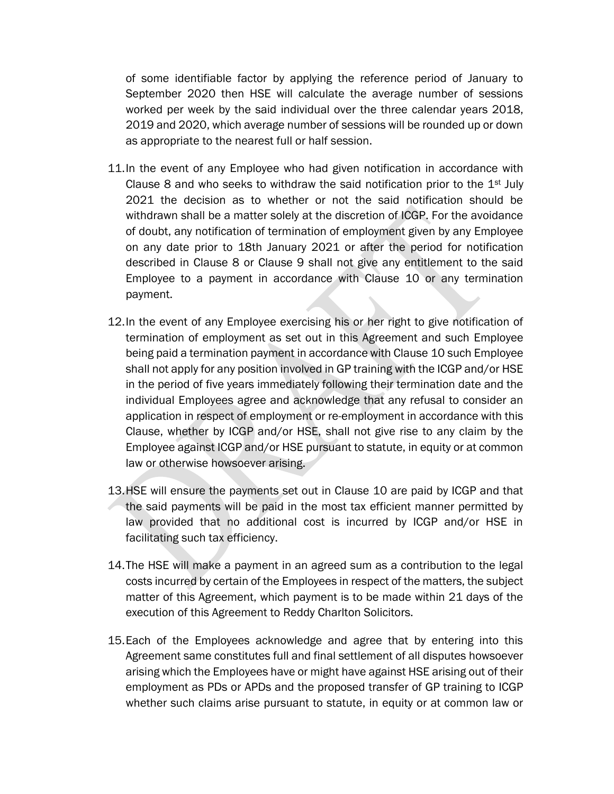of some identifiable factor by applying the reference period of January to September 2020 then HSE will calculate the average number of sessions worked per week by the said individual over the three calendar years 2018, 2019 and 2020, which average number of sessions will be rounded up or down as appropriate to the nearest full or half session.

- 11.In the event of any Employee who had given notification in accordance with Clause 8 and who seeks to withdraw the said notification prior to the  $1<sup>st</sup>$  July 2021 the decision as to whether or not the said notification should be withdrawn shall be a matter solely at the discretion of ICGP. For the avoidance of doubt, any notification of termination of employment given by any Employee on any date prior to 18th January 2021 or after the period for notification described in Clause 8 or Clause 9 shall not give any entitlement to the said Employee to a payment in accordance with Clause 10 or any termination payment.
- 12.In the event of any Employee exercising his or her right to give notification of termination of employment as set out in this Agreement and such Employee being paid a termination payment in accordance with Clause 10 such Employee shall not apply for any position involved in GP training with the ICGP and/or HSE in the period of five years immediately following their termination date and the individual Employees agree and acknowledge that any refusal to consider an application in respect of employment or re-employment in accordance with this Clause, whether by ICGP and/or HSE, shall not give rise to any claim by the Employee against ICGP and/or HSE pursuant to statute, in equity or at common law or otherwise howsoever arising.
- 13.HSE will ensure the payments set out in Clause 10 are paid by ICGP and that the said payments will be paid in the most tax efficient manner permitted by law provided that no additional cost is incurred by ICGP and/or HSE in facilitating such tax efficiency.
- 14.The HSE will make a payment in an agreed sum as a contribution to the legal costs incurred by certain of the Employees in respect of the matters, the subject matter of this Agreement, which payment is to be made within 21 days of the execution of this Agreement to Reddy Charlton Solicitors.
- 15.Each of the Employees acknowledge and agree that by entering into this Agreement same constitutes full and final settlement of all disputes howsoever arising which the Employees have or might have against HSE arising out of their employment as PDs or APDs and the proposed transfer of GP training to ICGP whether such claims arise pursuant to statute, in equity or at common law or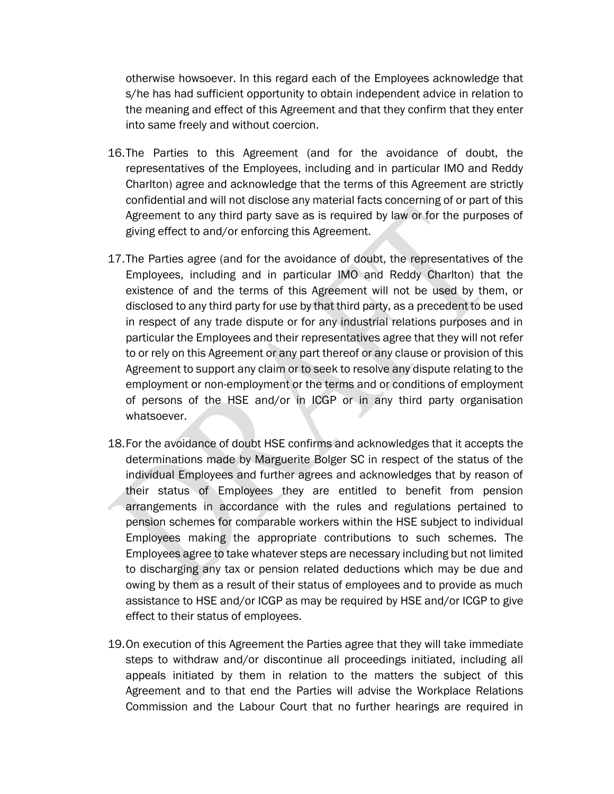otherwise howsoever. In this regard each of the Employees acknowledge that s/he has had sufficient opportunity to obtain independent advice in relation to the meaning and effect of this Agreement and that they confirm that they enter into same freely and without coercion.

- 16.The Parties to this Agreement (and for the avoidance of doubt, the representatives of the Employees, including and in particular IMO and Reddy Charlton) agree and acknowledge that the terms of this Agreement are strictly confidential and will not disclose any material facts concerning of or part of this Agreement to any third party save as is required by law or for the purposes of giving effect to and/or enforcing this Agreement.
- 17.The Parties agree (and for the avoidance of doubt, the representatives of the Employees, including and in particular IMO and Reddy Charlton) that the existence of and the terms of this Agreement will not be used by them, or disclosed to any third party for use by that third party, as a precedent to be used in respect of any trade dispute or for any industrial relations purposes and in particular the Employees and their representatives agree that they will not refer to or rely on this Agreement or any part thereof or any clause or provision of this Agreement to support any claim or to seek to resolve any dispute relating to the employment or non-employment or the terms and or conditions of employment of persons of the HSE and/or in ICGP or in any third party organisation whatsoever.
- 18.For the avoidance of doubt HSE confirms and acknowledges that it accepts the determinations made by Marguerite Bolger SC in respect of the status of the individual Employees and further agrees and acknowledges that by reason of their status of Employees they are entitled to benefit from pension arrangements in accordance with the rules and regulations pertained to pension schemes for comparable workers within the HSE subject to individual Employees making the appropriate contributions to such schemes. The Employees agree to take whatever steps are necessary including but not limited to discharging any tax or pension related deductions which may be due and owing by them as a result of their status of employees and to provide as much assistance to HSE and/or ICGP as may be required by HSE and/or ICGP to give effect to their status of employees.
- 19.On execution of this Agreement the Parties agree that they will take immediate steps to withdraw and/or discontinue all proceedings initiated, including all appeals initiated by them in relation to the matters the subject of this Agreement and to that end the Parties will advise the Workplace Relations Commission and the Labour Court that no further hearings are required in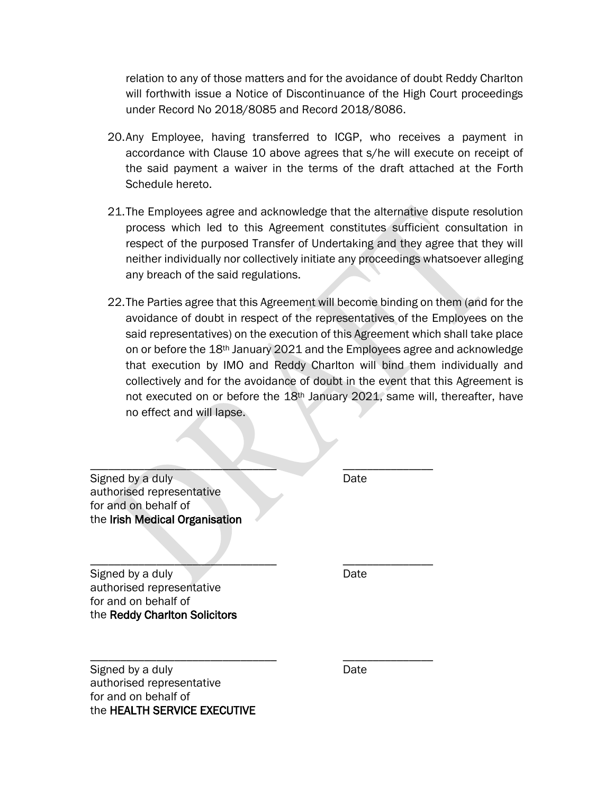relation to any of those matters and for the avoidance of doubt Reddy Charlton will forthwith issue a Notice of Discontinuance of the High Court proceedings under Record No 2018/8085 and Record 2018/8086.

- 20.Any Employee, having transferred to ICGP, who receives a payment in accordance with Clause 10 above agrees that s/he will execute on receipt of the said payment a waiver in the terms of the draft attached at the Forth Schedule hereto.
- 21.The Employees agree and acknowledge that the alternative dispute resolution process which led to this Agreement constitutes sufficient consultation in respect of the purposed Transfer of Undertaking and they agree that they will neither individually nor collectively initiate any proceedings whatsoever alleging any breach of the said regulations.
- 22.The Parties agree that this Agreement will become binding on them (and for the avoidance of doubt in respect of the representatives of the Employees on the said representatives) on the execution of this Agreement which shall take place on or before the 18th January 2021 and the Employees agree and acknowledge that execution by IMO and Reddy Charlton will bind them individually and collectively and for the avoidance of doubt in the event that this Agreement is not executed on or before the 18th January 2021, same will, thereafter, have no effect and will lapse.

Signed by a duly Date Date authorised representative for and on behalf of the Irish Medical Organisation

 $\mathcal{L} = \mathcal{L} \mathcal{L} = \mathcal{L} \mathcal{L}$ 

Signed by a duly Date Date authorised representative for and on behalf of the Reddy Charlton Solicitors

 $\blacksquare$ 

\_\_\_\_\_\_\_\_\_\_\_\_\_\_\_\_\_\_\_\_\_\_\_\_\_\_\_\_\_\_\_ \_\_\_\_\_\_\_\_\_\_\_\_\_\_\_ Signed by a duly a control of the Date Date authorised representative for and on behalf of the HEALTH SERVICE EXECUTIVE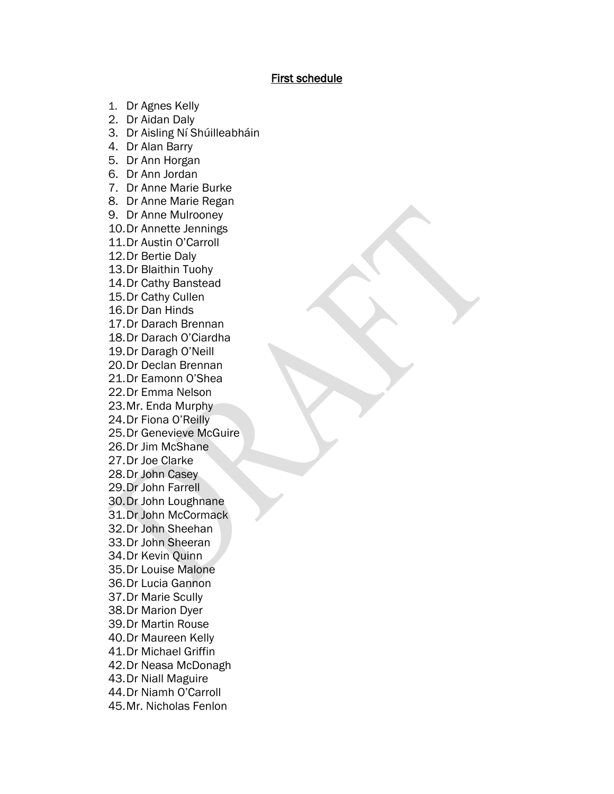### First schedule

- 1. Dr Agnes Kelly
- 2. Dr Aidan Daly
- 3. Dr Aisling Ní Shúilleabháin
- 4. Dr Alan Barry
- 5. Dr Ann Horgan
- 6. Dr Ann Jordan
- 7. Dr Anne Marie Burke
- 8. Dr Anne Marie Regan
- 9. Dr Anne Mulrooney
- 10.Dr Annette Jennings
- 11.Dr Austin O'Carroll
- 12.Dr Bertie Daly
- 13.Dr Blaithin Tuohy
- 14.Dr Cathy Banstead
- 15.Dr Cathy Cullen
- 16.Dr Dan Hinds
- 17.Dr Darach Brennan
- 18.Dr Darach O'Ciardha
- 19.Dr Daragh O'Neill
- 20.Dr Declan Brennan
- 21.Dr Eamonn O'Shea
- 22.Dr Emma Nelson
- 23.Mr. Enda Murphy
- 24.Dr Fiona O'Reilly
- 25.Dr Genevieve McGuire
- 26.Dr Jim McShane
- 27.Dr Joe Clarke
- 28.Dr John Casey
- 29.Dr John Farrell
- 30.Dr John Loughnane
- 31.Dr John McCormack
- 32.Dr John Sheehan
- 33.Dr John Sheeran
- 34.Dr Kevin Quinn
- 35.Dr Louise Malone
- 36.Dr Lucia Gannon
- 37.Dr Marie Scully
- 38.Dr Marion Dyer
- 39.Dr Martin Rouse
- 40.Dr Maureen Kelly
- 41.Dr Michael Griffin
- 42.Dr Neasa McDonagh
- 43.Dr Niall Maguire
- 44.Dr Niamh O'Carroll
- 45.Mr. Nicholas Fenlon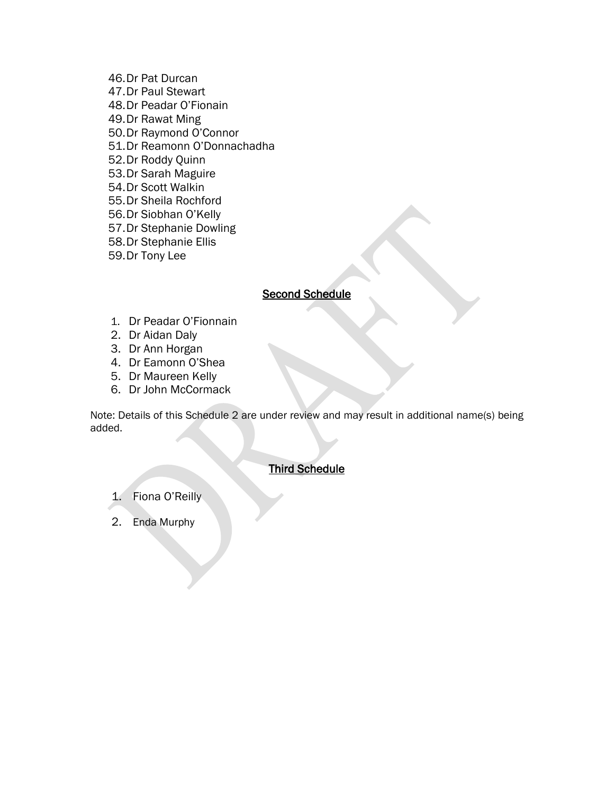46.Dr Pat Durcan 47.Dr Paul Stewart 48.Dr Peadar O'Fionain 49.Dr Rawat Ming 50.Dr Raymond O'Connor 51.Dr Reamonn O'Donnachadha 52.Dr Roddy Quinn 53.Dr Sarah Maguire 54.Dr Scott Walkin 55.Dr Sheila Rochford 56.Dr Siobhan O'Kelly 57.Dr Stephanie Dowling 58.Dr Stephanie Ellis 59.Dr Tony Lee

## **Second Schedule**

- 1. Dr Peadar O'Fionnain
- 2. Dr Aidan Daly
- 3. Dr Ann Horgan
- 4. Dr Eamonn O'Shea
- 5. Dr Maureen Kelly
- 6. Dr John McCormack

Note: Details of this Schedule 2 are under review and may result in additional name(s) being added.

# Third Schedule

1. Fiona O'Reilly

2. Enda Murphy